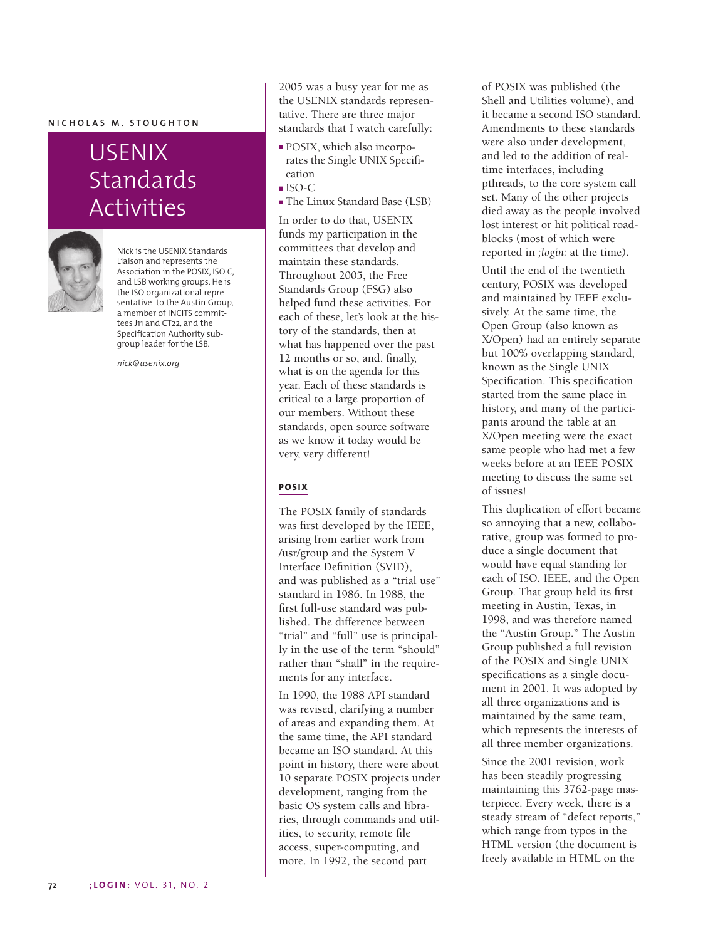#### **NICHOLAS M. STOUGHTON**

# USENIX Standards Activities



Nick is the USENIX Standards Liaison and represents the Association in the POSIX, ISO C, and LSB working groups. He is the ISO organizational representative to the Austin Group, a member of INCITS committees J11 and CT22, and the Specification Authority subgroup leader for the LSB.

*nick@usenix.org*

2005 was a busy year for me as the USENIX standards representative. There are three major standards that I watch carefully:

- POSIX, which also incorporates the Single UNIX Specification
- ISO-C
- The Linux Standard Base (LSB)

In order to do that, USENIX funds my participation in the committees that develop and maintain these standards. Throughout 2005, the Free Standards Group (FSG) also helped fund these activities. For each of these, let's look at the history of the standards, then at what has happened over the past 12 months or so, and, finally, what is on the agenda for this year. Each of these standards is critical to a large proportion of our members. Without these standards, open source software as we know it today would be very, very different!

### **POSIX**

The POSIX family of standards was first developed by the IEEE, arising from earlier work from /usr/group and the System V Interface Definition (SVID), and was published as a "trial use" standard in 1986. In 1988, the first full-use standard was published. The difference between "trial" and "full" use is principally in the use of the term "should" rather than "shall" in the requirements for any interface.

In 1990, the 1988 API standard was revised, clarifying a number of areas and expanding them. At the same time, the API standard became an ISO standard. At this point in history, there were about 10 separate POSIX projects under development, ranging from the basic OS system calls and libraries, through commands and utilities, to security, remote file access, super-computing, and more. In 1992, the second part

of POSIX was published (the Shell and Utilities volume), and it became a second ISO standard. Amendments to these standards were also under development, and led to the addition of realtime interfaces, including pthreads, to the core system call set. Many of the other projects died away as the people involved lost interest or hit political roadblocks (most of which were reported in *;login:* at the time).

Until the end of the twentieth century, POSIX was developed and maintained by IEEE exclusively. At the same time, the Open Group (also known as X/Open) had an entirely separate but 100% overlapping standard, known as the Single UNIX Specification. This specification started from the same place in history, and many of the participants around the table at an X/Open meeting were the exact same people who had met a few weeks before at an IEEE POSIX meeting to discuss the same set of issues!

This duplication of effort became so annoying that a new, collaborative, group was formed to produce a single document that would have equal standing for each of ISO, IEEE, and the Open Group. That group held its first meeting in Austin, Texas, in 1998, and was therefore named the "Austin Group." The Austin Group published a full revision of the POSIX and Single UNIX specifications as a single document in 2001. It was adopted by all three organizations and is maintained by the same team, which represents the interests of all three member organizations.

Since the 2001 revision, work has been steadily progressing maintaining this 3762-page masterpiece. Every week, there is a steady stream of "defect reports," which range from typos in the HTML version (the document is freely available in HTML on the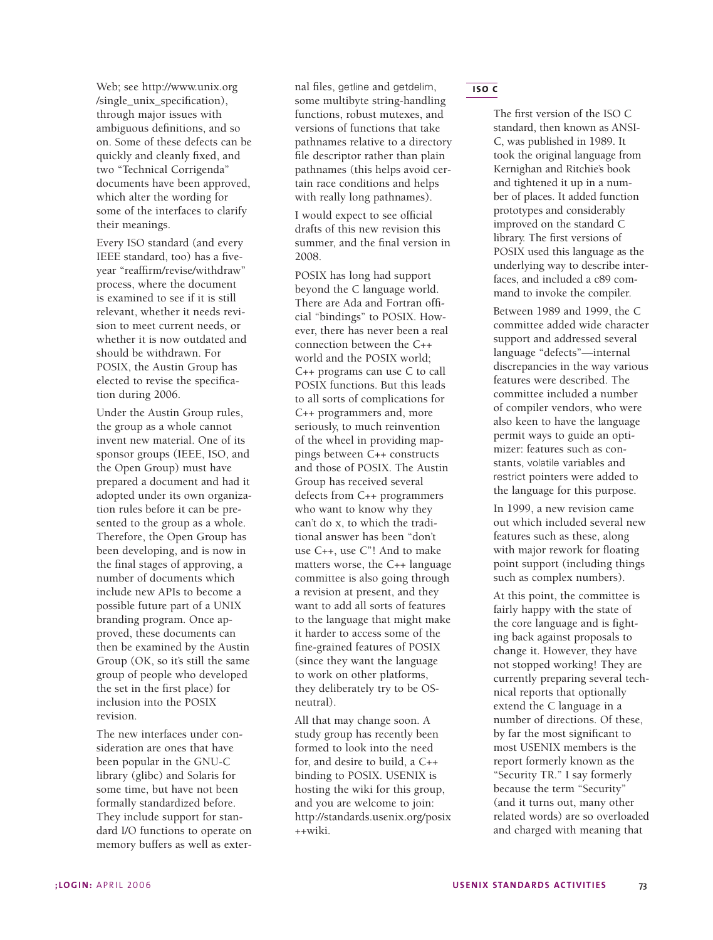Web; see http://www.unix.org /single\_unix\_specification), through major issues with ambiguous definitions, and so on. Some of these defects can be quickly and cleanly fixed, and two "Technical Corrigenda" documents have been approved, which alter the wording for some of the interfaces to clarify their meanings.

Every ISO standard (and every IEEE standard, too) has a fiveyear "reaffirm/revise/withdraw" process, where the document is examined to see if it is still relevant, whether it needs revision to meet current needs, or whether it is now outdated and should be withdrawn. For POSIX, the Austin Group has elected to revise the specification during 2006.

Under the Austin Group rules, the group as a whole cannot invent new material. One of its sponsor groups (IEEE, ISO, and the Open Group) must have prepared a document and had it adopted under its own organization rules before it can be presented to the group as a whole. Therefore, the Open Group has been developing, and is now in the final stages of approving, a number of documents which include new APIs to become a possible future part of a UNIX branding program. Once approved, these documents can then be examined by the Austin Group (OK, so it's still the same group of people who developed the set in the first place) for inclusion into the POSIX revision.

The new interfaces under consideration are ones that have been popular in the GNU-C library (glibc) and Solaris for some time, but have not been formally standardized before. They include support for standard I/O functions to operate on memory buffers as well as external files, getline and getdelim, some multibyte string-handling functions, robust mutexes, and versions of functions that take pathnames relative to a directory file descriptor rather than plain pathnames (this helps avoid certain race conditions and helps with really long pathnames).

I would expect to see official drafts of this new revision this summer, and the final version in 2008.

POSIX has long had support beyond the C language world. There are Ada and Fortran official "bindings" to POSIX. However, there has never been a real connection between the C++ world and the POSIX world; C++ programs can use C to call POSIX functions. But this leads to all sorts of complications for C++ programmers and, more seriously, to much reinvention of the wheel in providing mappings between C++ constructs and those of POSIX. The Austin Group has received several defects from C++ programmers who want to know why they can't do x, to which the traditional answer has been "don't use C++, use C"! And to make matters worse, the C++ language committee is also going through a revision at present, and they want to add all sorts of features to the language that might make it harder to access some of the fine-grained features of POSIX (since they want the language to work on other platforms, they deliberately try to be OSneutral).

All that may change soon. A study group has recently been formed to look into the need for, and desire to build, a C++ binding to POSIX. USENIX is hosting the wiki for this group, and you are welcome to join: http://standards.usenix.org/posix ++wiki.

**ISO C**

The first version of the ISO C standard, then known as ANSI-C, was published in 1989. It took the original language from Kernighan and Ritchie's book and tightened it up in a number of places. It added function prototypes and considerably improved on the standard C library. The first versions of POSIX used this language as the underlying way to describe interfaces, and included a c89 command to invoke the compiler.

Between 1989 and 1999, the C committee added wide character support and addressed several language "defects"—internal discrepancies in the way various features were described. The committee included a number of compiler vendors, who were also keen to have the language permit ways to guide an optimizer: features such as constants, volatile variables and restrict pointers were added to the language for this purpose.

In 1999, a new revision came out which included several new features such as these, along with major rework for floating point support (including things such as complex numbers).

At this point, the committee is fairly happy with the state of the core language and is fighting back against proposals to change it. However, they have not stopped working! They are currently preparing several technical reports that optionally extend the C language in a number of directions. Of these, by far the most significant to most USENIX members is the report formerly known as the "Security TR." I say formerly because the term "Security" (and it turns out, many other related words) are so overloaded and charged with meaning that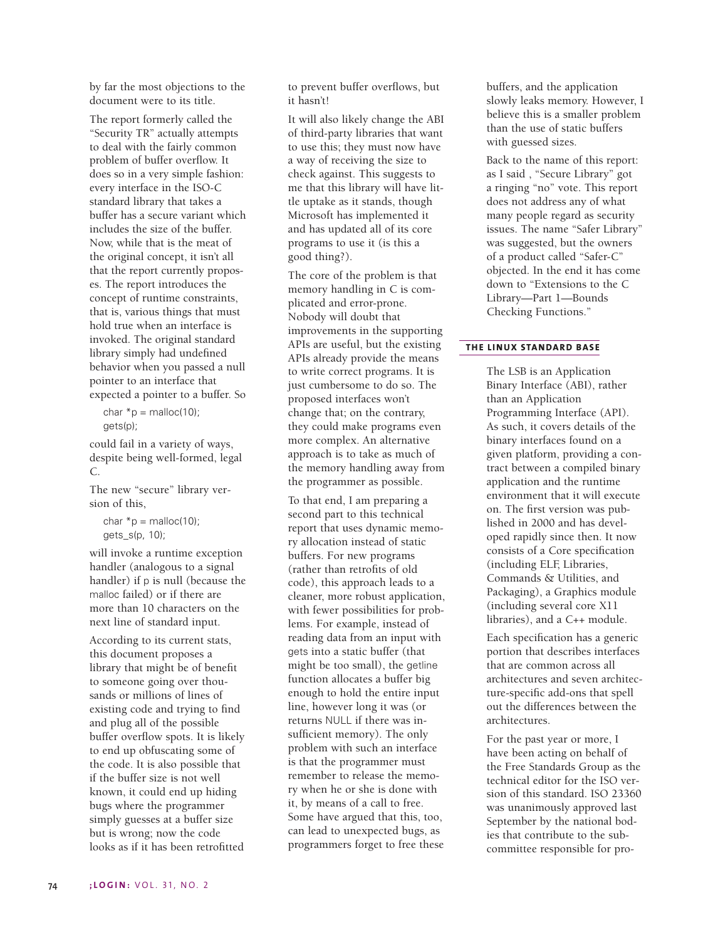by far the most objections to the document were to its title.

The report formerly called the "Security TR" actually attempts to deal with the fairly common problem of buffer overflow. It does so in a very simple fashion: every interface in the ISO-C standard library that takes a buffer has a secure variant which includes the size of the buffer. Now, while that is the meat of the original concept, it isn't all that the report currently proposes. The report introduces the concept of runtime constraints, that is, various things that must hold true when an interface is invoked. The original standard library simply had undefined behavior when you passed a null pointer to an interface that expected a pointer to a buffer. So

char  $*$ p = malloc(10); gets(p);

could fail in a variety of ways, despite being well-formed, legal C.

The new "secure" library version of this,

char  $*_{p}$  = malloc(10); qets  $s(p, 10)$ ;

will invoke a runtime exception handler (analogous to a signal handler) if p is null (because the malloc failed) or if there are more than 10 characters on the next line of standard input.

According to its current stats, this document proposes a library that might be of benefit to someone going over thousands or millions of lines of existing code and trying to find and plug all of the possible buffer overflow spots. It is likely to end up obfuscating some of the code. It is also possible that if the buffer size is not well known, it could end up hiding bugs where the programmer simply guesses at a buffer size but is wrong; now the code looks as if it has been retrofitted

to prevent buffer overflows, but it hasn't!

It will also likely change the ABI of third-party libraries that want to use this; they must now have a way of receiving the size to check against. This suggests to me that this library will have little uptake as it stands, though Microsoft has implemented it and has updated all of its core programs to use it (is this a good thing?).

The core of the problem is that memory handling in C is complicated and error-prone. Nobody will doubt that improvements in the supporting APIs are useful, but the existing APIs already provide the means to write correct programs. It is just cumbersome to do so. The proposed interfaces won't change that; on the contrary, they could make programs even more complex. An alternative approach is to take as much of the memory handling away from the programmer as possible.

To that end, I am preparing a second part to this technical report that uses dynamic memory allocation instead of static buffers. For new programs (rather than retrofits of old code), this approach leads to a cleaner, more robust application, with fewer possibilities for problems. For example, instead of reading data from an input with gets into a static buffer (that might be too small), the getline function allocates a buffer big enough to hold the entire input line, however long it was (or returns NULL if there was insufficient memory). The only problem with such an interface is that the programmer must remember to release the memory when he or she is done with it, by means of a call to free. Some have argued that this, too, can lead to unexpected bugs, as programmers forget to free these

buffers, and the application slowly leaks memory. However, I believe this is a smaller problem than the use of static buffers with guessed sizes.

Back to the name of this report: as I said , "Secure Library" got a ringing "no" vote. This report does not address any of what many people regard as security issues. The name "Safer Library" was suggested, but the owners of a product called "Safer-C" objected. In the end it has come down to "Extensions to the C Library—Part 1—Bounds Checking Functions."

#### **THE LINUX STANDARD BASE**

The LSB is an Application Binary Interface (ABI), rather than an Application Programming Interface (API). As such, it covers details of the binary interfaces found on a given platform, providing a contract between a compiled binary application and the runtime environment that it will execute on. The first version was published in 2000 and has developed rapidly since then. It now consists of a Core specification (including ELF, Libraries, Commands & Utilities, and Packaging), a Graphics module (including several core X11 libraries), and a C++ module.

Each specification has a generic portion that describes interfaces that are common across all architectures and seven architecture-specific add-ons that spell out the differences between the architectures.

For the past year or more, I have been acting on behalf of the Free Standards Group as the technical editor for the ISO version of this standard. ISO 23360 was unanimously approved last September by the national bodies that contribute to the subcommittee responsible for pro